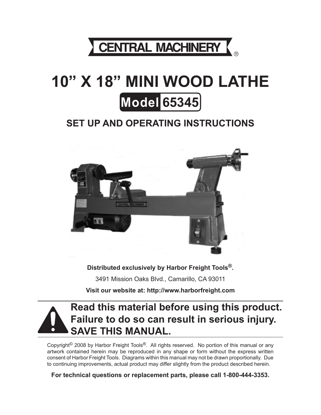

# **10" X 18" MINI WOOD LATHE Model 65345**

## **Set up And Operating Instructions**



**Distributed exclusively by Harbor Freight Tools®.** 3491 Mission Oaks Blvd., Camarillo, CA 93011 **Visit our website at: http://www.harborfreight.com**



Copyright<sup>©</sup> 2008 by Harbor Freight Tools<sup>®</sup>. All rights reserved. No portion of this manual or any artwork contained herein may be reproduced in any shape or form without the express written consent of Harbor Freight Tools. Diagrams within this manual may not be drawn proportionally. Due to continuing improvements, actual product may differ slightly from the product described herein.

**For technical questions or replacement parts, please call 1-800-444-3353.**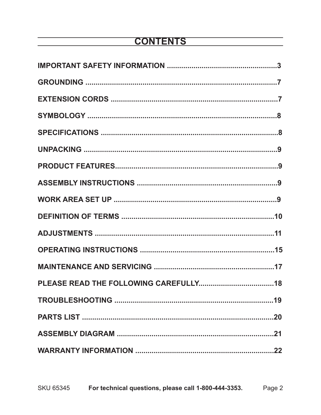## **CONTENTS**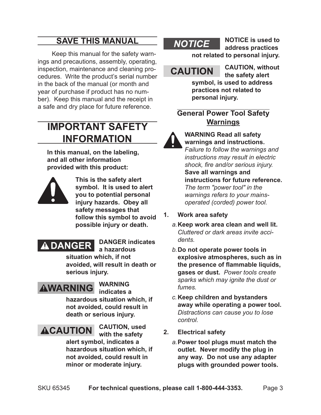## **Save This Manual**

Keep this manual for the safety warnings and precautions, assembly, operating, inspection, maintenance and cleaning procedures. Write the product's serial number in the back of the manual (or month and year of purchase if product has no number). Keep this manual and the receipt in a safe and dry place for future reference.

## **Important SAFETY Information**

**In this manual, on the labeling, and all other information provided with this product:**



**This is the safety alert symbol. It is used to alert you to potential personal injury hazards. Obey all safety messages that follow this symbol to avoid possible injury or death.**



**DANGER indicates a hazardous** 

**situation which, if not avoided, will result in death or serious injury.**

## **AWARNING**

#### **WARNING indicates a**

**hazardous situation which, if not avoided, could result in death or serious injury.**



**with the safety** 

**alert symbol, indicates a hazardous situation which, if not avoided, could result in minor or moderate injury.**

## **NOTICE**

**NOTICE is used to address practices not related to personal injury.**

## **CAUTION** CAUTION, without

**the safety alert symbol, is used to address practices not related to personal injury.**

### **General Power Tool Safety Warnings**

**WARNING Read all safety warnings and instructions.**  *Failure to follow the warnings and instructions may result in electric shock, fire and/or serious injury.* **Save all warnings and instructions for future reference.** *The term ″power tool″ in the warnings refers to your mainsoperated (corded) power tool.*

- **1. Work area safety**
	- *a.***Keep work area clean and well lit.**  *Cluttered or dark areas invite accidents.*
	- *b.***Do not operate power tools in explosive atmospheres, such as in the presence of flammable liquids, gases or dust.** *Power tools create sparks which may ignite the dust or fumes.*
	- *c.***Keep children and bystanders away while operating a power tool.**  *Distractions can cause you to lose control.*
- **2. Electrical safety**
	- *a.***Power tool plugs must match the outlet. Never modify the plug in any way. Do not use any adapter plugs with grounded power tools.**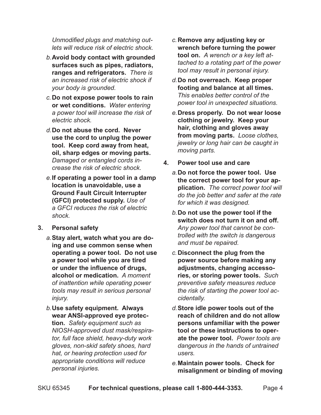*Unmodified plugs and matching outlets will reduce risk of electric shock.*

- *b.***Avoid body contact with grounded surfaces such as pipes, radiators, ranges and refrigerators.** *There is an increased risk of electric shock if your body is grounded.*
- *c.***Do not expose power tools to rain or wet conditions.** *Water entering a power tool will increase the risk of electric shock.*
- *d.***Do not abuse the cord. Never use the cord to unplug the power tool. Keep cord away from heat, oil, sharp edges or moving parts.**  *Damaged or entangled cords increase the risk of electric shock.*
- *e.***If operating a power tool in a damp location is unavoidable, use a Ground Fault Circuit Interrupter (GFCI) protected supply.** *Use of a GFCI reduces the risk of electric shock.*
- **3. Personal safety**
	- *a.***Stay alert, watch what you are doing and use common sense when operating a power tool. Do not use a power tool while you are tired or under the influence of drugs, alcohol or medication.** *A moment of inattention while operating power tools may result in serious personal injury.*
	- *b.***Use safety equipment. Always wear ANSI-approved eye protection.** *Safety equipment such as NIOSH-approved dust mask/respirator, full face shield, heavy-duty work gloves, non-skid safety shoes, hard hat, or hearing protection used for appropriate conditions will reduce personal injuries.*
- *c.***Remove any adjusting key or wrench before turning the power tool on.** *A wrench or a key left attached to a rotating part of the power tool may result in personal injury.*
- *d.***Do not overreach. Keep proper footing and balance at all times.** *This enables better control of the power tool in unexpected situations.*
- *e.***Dress properly. Do not wear loose clothing or jewelry. Keep your hair, clothing and gloves away from moving parts.** *Loose clothes, jewelry or long hair can be caught in moving parts.*
- **4. Power tool use and care**
	- *a.***Do not force the power tool. Use the correct power tool for your application.** *The correct power tool will do the job better and safer at the rate for which it was designed.*
	- *b.***Do not use the power tool if the switch does not turn it on and off.**  *Any power tool that cannot be controlled with the switch is dangerous and must be repaired.*
	- *c.***Disconnect the plug from the power source before making any adjustments, changing accessories, or storing power tools.** *Such preventive safety measures reduce the risk of starting the power tool accidentally.*
	- *d.***Store idle power tools out of the reach of children and do not allow persons unfamiliar with the power tool or these instructions to operate the power tool.** *Power tools are dangerous in the hands of untrained users.*
	- *e.***Maintain power tools. Check for misalignment or binding of moving**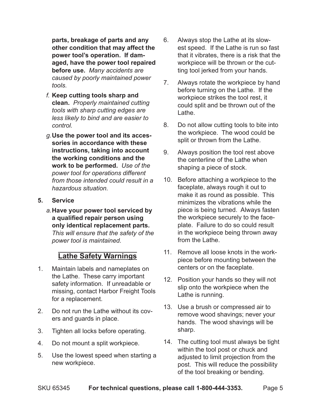**parts, breakage of parts and any other condition that may affect the power tool's operation. If damaged, have the power tool repaired before use.** *Many accidents are caused by poorly maintained power tools.*

- *f.* **Keep cutting tools sharp and clean.** *Properly maintained cutting tools with sharp cutting edges are less likely to bind and are easier to control.*
- *g.***Use the power tool and its accessories in accordance with these instructions, taking into account the working conditions and the work to be performed.** *Use of the power tool for operations different from those intended could result in a hazardous situation.*
- **5. Service**
	- *a.***Have your power tool serviced by a qualified repair person using only identical replacement parts.**  *This will ensure that the safety of the power tool is maintained.*

#### **Lathe Safety Warnings**

- 1. Maintain labels and nameplates on the Lathe. These carry important safety information. If unreadable or missing, contact Harbor Freight Tools for a replacement.
- 2. Do not run the Lathe without its covers and guards in place.
- 3. Tighten all locks before operating.
- 4. Do not mount a split workpiece.
- 5. Use the lowest speed when starting a new workpiece.
- 6. Always stop the Lathe at its slowest speed. If the Lathe is run so fast that it vibrates, there is a risk that the workpiece will be thrown or the cutting tool jerked from your hands.
- 7. Always rotate the workpiece by hand before turning on the Lathe. If the workpiece strikes the tool rest, it could split and be thrown out of the Lathe.
- 8. Do not allow cutting tools to bite into the workpiece. The wood could be split or thrown from the Lathe.
- 9. Always position the tool rest above the centerline of the Lathe when shaping a piece of stock.
- 10. Before attaching a workpiece to the faceplate, always rough it out to make it as round as possible. This minimizes the vibrations while the piece is being turned. Always fasten the workpiece securely to the faceplate. Failure to do so could result in the workpiece being thrown away from the Lathe.
- 11. Remove all loose knots in the workpiece before mounting between the centers or on the faceplate.
- 12. Position your hands so they will not slip onto the workpiece when the Lathe is running.
- 13. Use a brush or compressed air to remove wood shavings; never your hands. The wood shavings will be sharp.
- 14. The cutting tool must always be tight within the tool post or chuck and adjusted to limit projection from the post. This will reduce the possibility of the tool breaking or bending.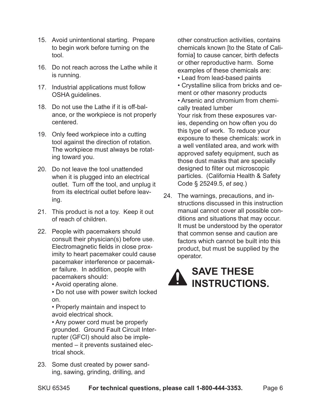- 15. Avoid unintentional starting. Prepare to begin work before turning on the tool.
- 16. Do not reach across the Lathe while it is running.
- 17. Industrial applications must follow OSHA guidelines.
- 18. Do not use the Lathe if it is off-balance, or the workpiece is not properly centered.
- 19. Only feed workpiece into a cutting tool against the direction of rotation. The workpiece must always be rotating toward you.
- 20. Do not leave the tool unattended when it is plugged into an electrical outlet. Turn off the tool, and unplug it from its electrical outlet before leaving.
- 21. This product is not a toy. Keep it out of reach of children.
- 22. People with pacemakers should consult their physician(s) before use. Electromagnetic fields in close proximity to heart pacemaker could cause pacemaker interference or pacemaker failure. In addition, people with pacemakers should:

• Avoid operating alone.

• Do not use with power switch locked on.

• Properly maintain and inspect to avoid electrical shock.

• Any power cord must be properly grounded. Ground Fault Circuit Interrupter (GFCI) should also be implemented – it prevents sustained electrical shock.

23. Some dust created by power sanding, sawing, grinding, drilling, and

other construction activities, contains chemicals known [to the State of California] to cause cancer, birth defects or other reproductive harm. Some examples of these chemicals are:

- Lead from lead-based paints
- Crystalline silica from bricks and cement or other masonry products
- Arsenic and chromium from chemically treated lumber

Your risk from these exposures varies, depending on how often you do this type of work. To reduce your exposure to these chemicals: work in a well ventilated area, and work with approved safety equipment, such as those dust masks that are specially designed to filter out microscopic particles. (California Health & Safety Code § 25249.5, *et seq.*)

24. The warnings, precautions, and instructions discussed in this instruction manual cannot cover all possible conditions and situations that may occur. It must be understood by the operator that common sense and caution are factors which cannot be built into this product, but must be supplied by the operator.

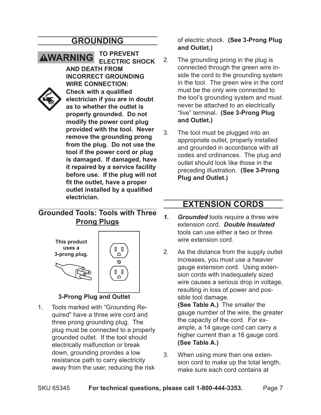### **Grounding**

**AWARNING To prevent electric shock and death from incorrect grounding wire connection: Check with a qualified electrician if you are in doubt as to whether the outlet is properly grounded. Do not modify the power cord plug provided with the tool. Never remove the grounding prong from the plug. Do not use the tool if the power cord or plug is damaged. If damaged, have it repaired by a service facility before use. If the plug will not fit the outlet, have a proper outlet installed by a qualified electrician.**

### **Grounded Tools: Tools with Three Prong Plugs**



#### **3-Prong Plug and Outlet**

1. Tools marked with "Grounding Required" have a three wire cord and three prong grounding plug. The plug must be connected to a properly grounded outlet. If the tool should electrically malfunction or break down, grounding provides a low resistance path to carry electricity away from the user, reducing the risk

of electric shock. **(See 3-Prong Plug and Outlet.)**

- 2. The grounding prong in the plug is connected through the green wire inside the cord to the grounding system in the tool. The green wire in the cord must be the only wire connected to the tool's grounding system and must never be attached to an electrically "live" terminal. **(See 3-Prong Plug and Outlet.)**
- 3. The tool must be plugged into an appropriate outlet, properly installed and grounded in accordance with all codes and ordinances. The plug and outlet should look like those in the preceding illustration. **(See 3-Prong Plug and Outlet.)**

### **Extension Cords**

- *1. Grounded* tools require a three wire extension cord. *Double Insulated* tools can use either a two or three wire extension cord.
- 2. As the distance from the supply outlet increases, you must use a heavier gauge extension cord. Using extension cords with inadequately sized wire causes a serious drop in voltage, resulting in loss of power and possible tool damage. **(See Table A.)** The smaller the gauge number of the wire, the greater the capacity of the cord. For ex-

ample, a 14 gauge cord can carry a higher current than a 16 gauge cord. **(See Table A.)**

3. When using more than one extension cord to make up the total length, make sure each cord contains at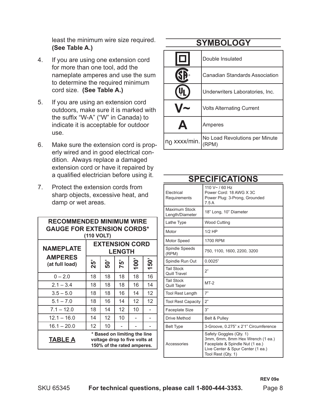least the minimum wire size required. **(See Table A.)**

- 4. If you are using one extension cord for more than one tool, add the nameplate amperes and use the sum to determine the required minimum cord size. **(See Table A.)**
- 5. If you are using an extension cord outdoors, make sure it is marked with the suffix "W-A" ("W" in Canada) to indicate it is acceptable for outdoor use.
- 6. Make sure the extension cord is properly wired and in good electrical condition. Always replace a damaged extension cord or have it repaired by a qualified electrician before using it.
- 7. Protect the extension cords from sharp objects, excessive heat, and damp or wet areas.

| <b>RECOMMENDED MINIMUM WIRE</b><br><b>GAUGE FOR EXTENSION CORDS*</b><br>(110 VOLT)                            |                                        |        |         |      |      |
|---------------------------------------------------------------------------------------------------------------|----------------------------------------|--------|---------|------|------|
| <b>NAMEPLATE</b>                                                                                              | <b>EXTENSION CORD</b><br><b>LENGTH</b> |        |         |      |      |
| <b>AMPERES</b><br>(at full load)                                                                              | <b>25</b>                              | ë<br>S | 57<br>N | 100' | 150' |
| $0 - 2.0$                                                                                                     | 18                                     | 18     | 18      | 18   | 16   |
| $2.1 - 3.4$                                                                                                   | 18                                     | 18     | 18      | 16   | 14   |
| $3.5 - 5.0$                                                                                                   | 18                                     | 18     | 16      | 14   | 12   |
| $5.1 - 7.0$                                                                                                   | 18                                     | 16     | 14      | 12   | 12   |
| $7.1 - 12.0$                                                                                                  | 18                                     | 14     | 12      | 10   |      |
| $12.1 - 16.0$                                                                                                 | 14                                     | 12     | 10      |      |      |
| $16.1 - 20.0$                                                                                                 | 12                                     | 10     |         |      |      |
| * Based on limiting the line<br><b>TABLE A</b><br>voltage drop to five volts at<br>150% of the rated amperes. |                                        |        |         |      |      |

## **Symbology**

| $\Box$           | Double Insulated                        |
|------------------|-----------------------------------------|
|                  | <b>Canadian Standards Association</b>   |
|                  | Underwriters Laboratories, Inc.         |
|                  | <b>Volts Alternating Current</b>        |
| $\blacktriangle$ | Amperes                                 |
| $n_0$ xxxx/min.  | No Load Revolutions per Minute<br>(RPM) |

| Electrical<br>Requirements        | 110 V~ / 60 Hz<br>Power Cord: 18 AWG X 3C<br>Power Plug: 3-Prong, Grounded<br>7.5A                                                                        |
|-----------------------------------|-----------------------------------------------------------------------------------------------------------------------------------------------------------|
| Maximum Stock<br>Length/Diameter  | 18" Long, 10" Diameter                                                                                                                                    |
| Lathe Type                        | <b>Wood Cutting</b>                                                                                                                                       |
| Motor                             | $1/2$ HP                                                                                                                                                  |
| Motor Speed                       | 1700 RPM                                                                                                                                                  |
| Spindle Speeds<br>(RPM)           | 750, 1100, 1600, 2200, 3200                                                                                                                               |
| Spindle Run Out                   | 0.0025"                                                                                                                                                   |
| <b>Tail Stock</b><br>Quill Travel | 2"                                                                                                                                                        |
| <b>Tail Stock</b><br>Quill Taper  | $MT-2$                                                                                                                                                    |
| <b>Tool Rest Length</b>           | 7"                                                                                                                                                        |
| <b>Tool Rest Capacity</b>         | 2"                                                                                                                                                        |
| Faceplate Size                    | 3"                                                                                                                                                        |
| Drive Method                      | <b>Belt &amp; Pulley</b>                                                                                                                                  |
| <b>Belt Type</b>                  | 3-Groove, 0.275" x 2'1" Circumference                                                                                                                     |
| Accessories                       | Safety Goggles (Qty. 1)<br>3mm, 6mm, 8mm Hex Wrench (1 ea.)<br>Faceplate & Spindle Nut (1 ea.)<br>Live Center & Spur Center (1 ea.)<br>Tool Rest (Qty. 1) |

#### **Specifications**

SKU 65345 **For technical questions, please call 1-800-444-3353.** Page 8

**REV 09e**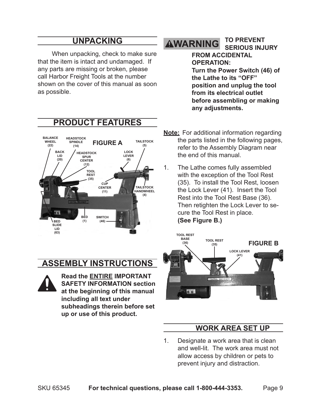### **Unpacking**

When unpacking, check to make sure that the item is intact and undamaged. If any parts are missing or broken, please call Harbor Freight Tools at the number shown on the cover of this manual as soon as possible.

#### **To prevent AWARNING serious injury**

**from accidental operation: Turn the Power Switch (46) of the Lathe to its "OFF" position and unplug the tool from its electrical outlet before assembling or making any adjustments.**

**PRODUCT FEATURES FIGURE A BALANCE HEADSTOCK WHEEL TAILSTOCK SPINDLE (22) (5) (14) LOCK BACK HEADSTOCK LID LEVER SPUR (20) CENTER (6) (12) TOOL REST (35) CUP CENTER TAILSTOCK HANDWHEEL (11) (4)** Ŧ **BED SWITCH BED (1) (46) SLIDE LID (63)**

**ASSEMBLY Instructions**



**Read the ENTIRE IMPORTANT Safety Information section at the beginning of this manual including all text under subheadings therein before set up or use of this product.**

- **Note:** For additional information regarding the parts listed in the following pages, refer to the Assembly Diagram near the end of this manual.
- 1. The Lathe comes fully assembled with the exception of the Tool Rest (35). To install the Tool Rest, loosen the Lock Lever (41). Insert the Tool Rest into the Tool Rest Base (36). Then retighten the Lock Lever to secure the Tool Rest in place. **(See Figure B.)**



### **Work Area Set Up**

1. Designate a work area that is clean and well-lit. The work area must not allow access by children or pets to prevent injury and distraction.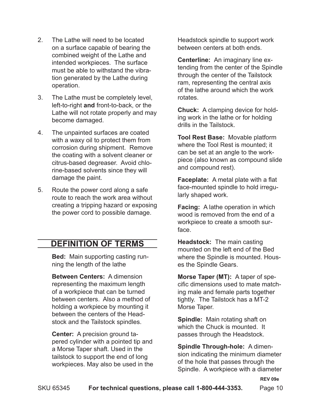- 2. The Lathe will need to be located on a surface capable of bearing the combined weight of the Lathe and intended workpieces. The surface must be able to withstand the vibration generated by the Lathe during operation.
- 3. The Lathe must be completely level, left-to-right **and** front-to-back, or the Lathe will not rotate properly and may become damaged.
- 4. The unpainted surfaces are coated with a waxy oil to protect them from corrosion during shipment. Remove the coating with a solvent cleaner or citrus-based degreaser. Avoid chlorine-based solvents since they will damage the paint.
- 5. Route the power cord along a safe route to reach the work area without creating a tripping hazard or exposing the power cord to possible damage.

## **Definition of Terms**

**Bed:** Main supporting casting running the length of the lathe

**Between Centers:** A dimension representing the maximum length of a workpiece that can be turned between centers. Also a method of holding a workpiece by mounting it between the centers of the Headstock and the Tailstock spindles.

**Center:** A precision ground tapered cylinder with a pointed tip and a Morse Taper shaft. Used in the tailstock to support the end of long workpieces. May also be used in the Headstock spindle to support work between centers at both ends.

**Centerline:** An imaginary line extending from the center of the Spindle through the center of the Tailstock ram, representing the central axis of the lathe around which the work rotates.

**Chuck:** A clamping device for holding work in the lathe or for holding drills in the Tailstock.

**Tool Rest Base:** Movable platform where the Tool Rest is mounted; it can be set at an angle to the workpiece (also known as compound slide and compound rest).

**Faceplate:** A metal plate with a flat face-mounted spindle to hold irregularly shaped work.

**Facing:** A lathe operation in which wood is removed from the end of a workpiece to create a smooth surface.

**Headstock:** The main casting mounted on the left end of the Bed where the Spindle is mounted. Houses the Spindle Gears.

**Morse Taper (MT):** A taper of specific dimensions used to mate matching male and female parts together tightly. The Tailstock has a MT-2 Morse Taper.

**Spindle:** Main rotating shaft on which the Chuck is mounted. It passes through the Headstock.

**Spindle Through-hole:** A dimension indicating the minimum diameter of the hole that passes through the Spindle. A workpiece with a diameter

**REV 09e**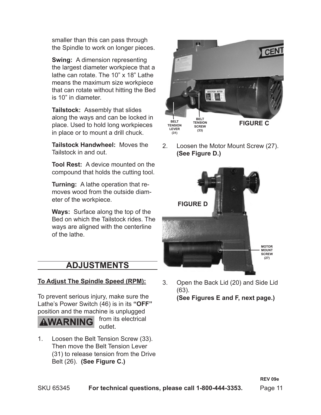smaller than this can pass through the Spindle to work on longer pieces.

**Swing:** A dimension representing the largest diameter workpiece that a lathe can rotate. The 10" x 18" Lathe means the maximum size workpiece that can rotate without hitting the Bed is 10" in diameter.

**Tailstock:** Assembly that slides along the ways and can be locked in place. Used to hold long workpieces in place or to mount a drill chuck.

**Tailstock Handwheel:** Moves the Tailstock in and out.

**Tool Rest:** A device mounted on the compound that holds the cutting tool.

**Turning:** A lathe operation that removes wood from the outside diameter of the workpiece.

**Ways:** Surface along the top of the Bed on which the Tailstock rides. The ways are aligned with the centerline of the lathe.

## **ADJUSTMENTS**

#### **To Adjust The Spindle Speed (RPM):**

To prevent serious injury, make sure the Lathe's Power Switch (46) is in its **"OFF"** position and the machine is unplugged

**VARNING** 

from its electrical outlet.

1. Loosen the Belt Tension Screw (33). Then move the Belt Tension Lever (31) to release tension from the Drive Belt (26). **(See Figure C.)**



2. Loosen the Motor Mount Screw (27). **(See Figure D.)**



3. Open the Back Lid (20) and Side Lid (63). **(See Figures E and F, next page.)**

**REV 09e**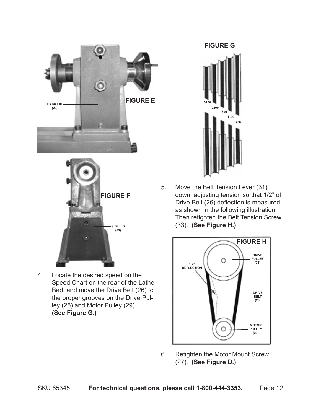



**SIDE LID (63)**



5. Move the Belt Tension Lever (31) down, adjusting tension so that 1/2" of Drive Belt (26) deflection is measured as shown in the following illustration. Then retighten the Belt Tension Screw (33). **(See Figure H.)**



6. Retighten the Motor Mount Screw (27). **(See Figure D.)**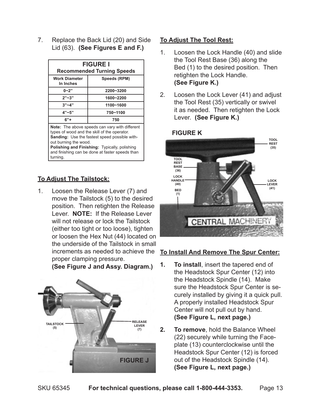7. Replace the Back Lid (20) and Side Lid (63). **(See Figures E and F.)**

| <b>FIGURE I</b><br><b>Recommended Turning Speeds</b> |  |  |  |
|------------------------------------------------------|--|--|--|
| Speeds (RPM)                                         |  |  |  |
| 2200~3200                                            |  |  |  |
| 1600~2200                                            |  |  |  |
| 1100~1600                                            |  |  |  |
| 750~1100                                             |  |  |  |
| 750                                                  |  |  |  |
|                                                      |  |  |  |

**Note:** The above speeds can vary with different types of wood and the skill of the operator. **Sanding:** Use the fastest speed possible without burning the wood.

**Polishing and Finishing:** Typically, polishing and finishing can be done at faster speeds than turning.

#### **To Adjust The Tailstock:**

1. Loosen the Release Lever (7) and move the Tailstock (5) to the desired position. Then retighten the Release Lever. **NOTE:** If the Release Lever will not release or lock the Tailstock (either too tight or too loose), tighten or loosen the Hex Nut (44) located on the underside of the Tailstock in small increments as needed to achieve the proper clamping pressure.

**(See Figure J and Assy. Diagram.)**



#### **To Adjust The Tool Rest:**

- 1. Loosen the Lock Handle (40) and slide the Tool Rest Base (36) along the Bed (1) to the desired position. Then retighten the Lock Handle. **(See Figure K.)**
- 2. Loosen the Lock Lever (41) and adjust the Tool Rest (35) vertically or swivel it as needed. Then retighten the Lock Lever. **(See Figure K.)**



#### **To Install And Remove The Spur Center:**

- **1. To install**, insert the tapered end of the Headstock Spur Center (12) into the Headstock Spindle (14). Make sure the Headstock Spur Center is securely installed by giving it a quick pull. A properly installed Headstock Spur Center will not pull out by hand. **(See Figure L, next page.)**
- **2. To remove**, hold the Balance Wheel (22) securely while turning the Faceplate (13) counterclockwise until the Headstock Spur Center (12) is forced out of the Headstock Spindle (14). **(See Figure L, next page.)**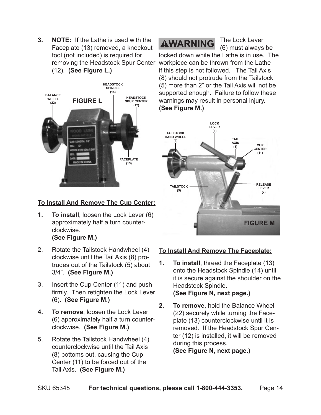**3. NOTE:** If the Lathe is used with the Faceplate (13) removed, a knockout tool (not included) is required for removing the Headstock Spur Center (12). **(See Figure L.)**



#### **To Install And Remove The Cup Center:**

- **1. To install**, loosen the Lock Lever (6) approximately half a turn counterclockwise. **(See Figure M.)**
- 2. Rotate the Tailstock Handwheel (4) clockwise until the Tail Axis (8) protrudes out of the Tailstock (5) about 3/4". **(See Figure M.)**
- 3. Insert the Cup Center (11) and push firmly. Then retighten the Lock Lever (6). **(See Figure M.)**
- **4. To remove**, loosen the Lock Lever (6) approximately half a turn counterclockwise. **(See Figure M.)**
- 5. Rotate the Tailstock Handwheel (4) counterclockwise until the Tail Axis (8) bottoms out, causing the Cup Center (11) to be forced out of the Tail Axis. **(See Figure M.)**

## **AWARNING**

The Lock Lever (6) must always be

locked down while the Lathe is in use. The workpiece can be thrown from the Lathe if this step is not followed. The Tail Axis (8) should not protrude from the Tailstock (5) more than 2" or the Tail Axis will not be supported enough. Failure to follow these warnings may result in personal injury. **(See Figure M.)**



#### **To Install And Remove The Faceplate:**

- **1. To install**, thread the Faceplate (13) onto the Headstock Spindle (14) until it is secure against the shoulder on the Headstock Spindle. **(See Figure N, next page.)**
- **2. To remove**, hold the Balance Wheel (22) securely while turning the Faceplate (13) counterclockwise until it is removed. If the Headstock Spur Center (12) is installed, it will be removed during this process. **(See Figure N, next page.)**

SKU 65345 **For technical questions, please call 1-800-444-3353.** Page 14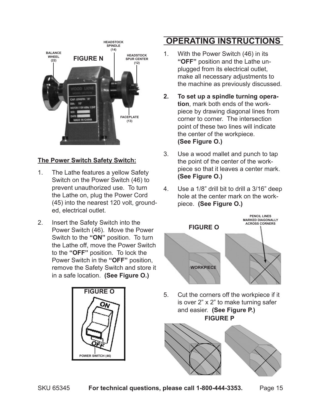

#### **The Power Switch Safety Switch:**

- 1. The Lathe features a yellow Safety Switch on the Power Switch (46) to prevent unauthorized use. To turn the Lathe on, plug the Power Cord (45) into the nearest 120 volt, grounded, electrical outlet.
- 2. Insert the Safety Switch into the Power Switch (46). Move the Power Switch to the **"ON"** position. To turn the Lathe off, move the Power Switch to the **"OFF"** position. To lock the Power Switch in the **"OFF"** position, remove the Safety Switch and store it in a safe location. **(See Figure O.)**



## **OPERATING INSTRUCTIONS**

- 1. With the Power Switch (46) in its **"OFF"** position and the Lathe unplugged from its electrical outlet, make all necessary adjustments to the machine as previously discussed.
- **2. To set up a spindle turning operation**, mark both ends of the workpiece by drawing diagonal lines from corner to corner. The intersection point of these two lines will indicate the center of the workpiece. **(See Figure O.)**
- 3. Use a wood mallet and punch to tap the point of the center of the workpiece so that it leaves a center mark. **(See Figure O.)**
- 4. Use a 1/8" drill bit to drill a 3/16" deep hole at the center mark on the workpiece. **(See Figure O.)**



5. Cut the corners off the workpiece if it is over 2" x 2" to make turning safer and easier. **(See Figure P.) FIGURE P**

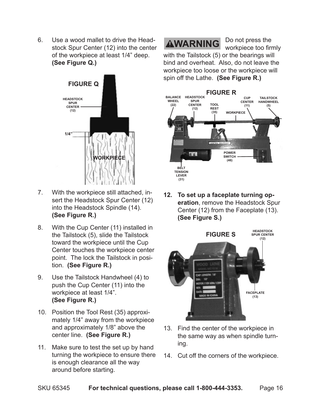6. Use a wood mallet to drive the Headstock Spur Center (12) into the center of the workpiece at least 1/4" deep. **(See Figure Q.)**



- 7. With the workpiece still attached, insert the Headstock Spur Center (12) into the Headstock Spindle (14). **(See Figure R.)**
- 8. With the Cup Center (11) installed in the Tailstock (5), slide the Tailstock toward the workpiece until the Cup Center touches the workpiece center point. The lock the Tailstock in position. **(See Figure R.)**
- 9. Use the Tailstock Handwheel (4) to push the Cup Center (11) into the workpiece at least 1/4". **(See Figure R.)**
- 10. Position the Tool Rest (35) approximately 1/4" away from the workpiece and approximately 1/8" above the center line. **(See Figure R.)**
- 11. Make sure to test the set up by hand turning the workpiece to ensure there is enough clearance all the way around before starting.

## **AWARNING**

Do not press the workpiece too firmly

with the Tailstock (5) or the bearings will bind and overheat. Also, do not leave the workpiece too loose or the workpiece will spin off the Lathe. **(See Figure R.)**



**12. To set up a faceplate turning operation**, remove the Headstock Spur Center (12) from the Faceplate (13). **(See Figure S.)**



- 13. Find the center of the workpiece in the same way as when spindle turning.
- 14. Cut off the corners of the workpiece.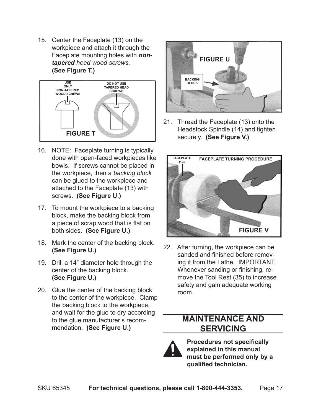15. Center the Faceplate (13) on the workpiece and attach it through the Faceplate mounting holes with *nontapered head wood screws.* **(See Figure T.)**



- 16. NOTE: Faceplate turning is typically done with open-faced workpieces like bowls. If screws cannot be placed in the workpiece, then a *backing block* can be glued to the workpiece and attached to the Faceplate (13) with screws. **(See Figure U.)**
- 17. To mount the workpiece to a backing block, make the backing block from a piece of scrap wood that is flat on both sides. **(See Figure U.)**
- 18. Mark the center of the backing block. **(See Figure U.)**
- 19. Drill a 14" diameter hole through the center of the backing block. **(See Figure U.)**
- 20. Glue the center of the backing block to the center of the workpiece. Clamp the backing block to the workpiece, and wait for the glue to dry according to the glue manufacturer's recommendation. **(See Figure U.)**



21. Thread the Faceplate (13) onto the Headstock Spindle (14) and tighten securely. **(See Figure V.)**



22. After turning, the workpiece can be sanded and finished before removing it from the Lathe. IMPORTANT: Whenever sanding or finishing, remove the Tool Rest (35) to increase safety and gain adequate working room.

### **Maintenance And Servicing**



**Procedures not specifically explained in this manual must be performed only by a qualified technician.**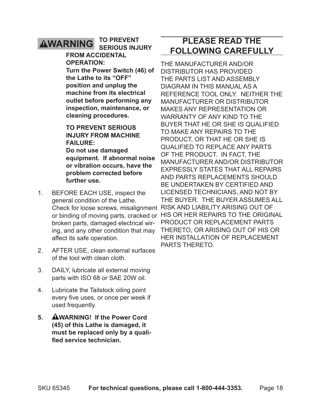#### **To prevent AWARNING serious injury**

#### **from accidental operation:**

**Turn the Power Switch (46) of the Lathe to its "OFF" position and unplug the machine from its electrical outlet before performing any inspection, maintenance, or cleaning procedures.**

#### **To prevent serious injury from machine failure:**

**Do not use damaged equipment. If abnormal noise or vibration occurs, have the problem corrected before further use.**

- 1. BEFORE EACH USE, inspect the general condition of the Lathe. or binding of moving parts, cracked or HIS OR HER REPAIRS TO THE C broken parts, damaged electrical wiring, and any other condition that may affect its safe operation.
- 2. AFTER USE, clean external surfaces of the tool with clean cloth.
- 3. DAILY, lubricate all external moving parts with ISO 68 or SAE 20W oil.
- 4. Lubricate the Tailstock oiling point every five uses, or once per week if used frequently.
- **5. WARNING! If the Power Cord (45) of this Lathe is damaged, it must be replaced only by a qualified service technician.**

## **PLEASE READ THE FOLLOWING CAREFULLY**

Check for loose screws, misalignment RISK AND LIABILITY ARISING OUT C The manufacturer and/or distributor has provided the parts list and assembly diagram in this manual as a reference tool only. Neither the manufacturer or distributor makes any representation or warranty of any kind to the buyer that he or she is qualified to make any repairs to the product, or that he or she is qualified to replace any parts of the product. In fact, the manufacturer and/or distributor expressly states that all repairs and parts replacements should be undertaken by certified and licensed technicians, and not by the buyer. The buyer assumes all product or replacement parts thereto, or arising out of his or her installation of replacement parts thereto.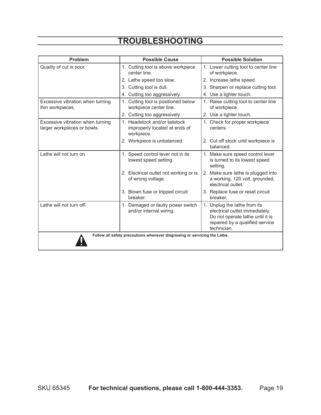| Problem                                                                   | <b>Possible Cause</b>                                                        | <b>Possible Solution</b>                                                                                                                             |  |  |
|---------------------------------------------------------------------------|------------------------------------------------------------------------------|------------------------------------------------------------------------------------------------------------------------------------------------------|--|--|
| Quality of cut is poor.                                                   | 1. Cutting tool is above workpiece<br>center line.                           | 1. Lower cutting tool to center line<br>of workpiece.                                                                                                |  |  |
|                                                                           | 2. Lathe speed too slow.                                                     | 2. Increase lathe speed.                                                                                                                             |  |  |
|                                                                           | 3. Cutting tool is dull.                                                     | 3. Sharpen or replace cutting tool.                                                                                                                  |  |  |
|                                                                           | 4. Cutting too aggressively.                                                 | 4. Use a lighter touch.                                                                                                                              |  |  |
| Excessive vibration when turning<br>thin workpieces.                      | 1. Cutting tool is positioned below<br>workpiece center line.                | 1. Raise cutting tool to center line<br>of workpiece.                                                                                                |  |  |
|                                                                           | 2. Cutting too aggressively.                                                 | 2. Use a lighter touch.                                                                                                                              |  |  |
| Excessive vibration when turning<br>larger workpieces or bowls.           | 1. Headstock and/or tailstock<br>improperly located at ends of<br>workpiece. | 1. Check for proper workpiece<br>centers.                                                                                                            |  |  |
|                                                                           | 2. Workpiece is unbalanced.                                                  | 2. Cut off stock until workpiece is<br>balanced.                                                                                                     |  |  |
| Lathe will not turn on.                                                   | 1. Speed control lever not in its<br>lowest speed setting.                   | 1. Make sure speed control lever<br>is turned to its lowest speed<br>setting.                                                                        |  |  |
|                                                                           | 2. Electrical outlet not working or is<br>of wrong voltage.                  | 2. Make sure lathe is plugged into<br>a working, 120 volt, grounded,<br>electrical outlet.                                                           |  |  |
|                                                                           | 3. Blown fuse or tripped circuit<br>breaker.                                 | 3. Replace fuse or reset circuit<br>breaker.                                                                                                         |  |  |
| Lathe will not turn off.                                                  | 1. Damaged or faulty power switch<br>and/or internal wiring.                 | 1. Unplug the lathe from its<br>electrical outlet immediately.<br>Do not operate lathe until it is<br>repaired by a qualified service<br>technician. |  |  |
| Follow all safety precautions whenever diagnosing or servicing the Lathe. |                                                                              |                                                                                                                                                      |  |  |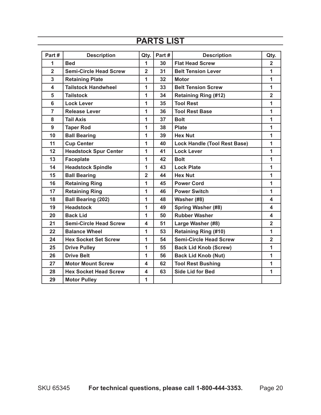## **PARTS LIST**

| Part#                   | <b>Description</b>            | Qty.                    | Part# | <b>Description</b>                  | Qty.           |
|-------------------------|-------------------------------|-------------------------|-------|-------------------------------------|----------------|
| 1                       | <b>Bed</b>                    | $\mathbf{1}$            | 30    | <b>Flat Head Screw</b>              | $\overline{2}$ |
| $\overline{2}$          | <b>Semi-Circle Head Screw</b> | $\overline{2}$          | 31    | <b>Belt Tension Lever</b>           | $\mathbf{1}$   |
| $\overline{3}$          | <b>Retaining Plate</b>        | $\mathbf{1}$            | 32    | <b>Motor</b>                        | $\mathbf{1}$   |
| $\overline{\mathbf{4}}$ | <b>Tailstock Handwheel</b>    | $\mathbf{1}$            | 33    | <b>Belt Tension Screw</b>           | $\mathbf{1}$   |
| 5                       | <b>Tailstock</b>              | 1                       | 34    | <b>Retaining Ring (#12)</b>         | $\overline{2}$ |
| $6\phantom{a}$          | <b>Lock Lever</b>             | 1                       | 35    | <b>Tool Rest</b>                    | $\mathbf{1}$   |
| $\overline{7}$          | <b>Release Lever</b>          | $\mathbf{1}$            | 36    | <b>Tool Rest Base</b>               | $\mathbf{1}$   |
| 8                       | <b>Tail Axis</b>              | 1                       | 37    | <b>Bolt</b>                         | $\mathbf{1}$   |
| 9                       | <b>Taper Rod</b>              | $\mathbf{1}$            | 38    | <b>Plate</b>                        | $\mathbf{1}$   |
| 10                      | <b>Ball Bearing</b>           | 1                       | 39    | <b>Hex Nut</b>                      | $\mathbf{1}$   |
| 11                      | <b>Cup Center</b>             | $\mathbf{1}$            | 40    | <b>Lock Handle (Tool Rest Base)</b> | $\mathbf{1}$   |
| 12                      | <b>Headstock Spur Center</b>  | $\mathbf{1}$            | 41    | <b>Lock Lever</b>                   | $\mathbf{1}$   |
| 13                      | <b>Faceplate</b>              | $\mathbf{1}$            | 42    | <b>Bolt</b>                         | $\mathbf{1}$   |
| 14                      | <b>Headstock Spindle</b>      | $\mathbf{1}$            | 43    | <b>Lock Plate</b>                   | $\mathbf{1}$   |
| 15                      | <b>Ball Bearing</b>           | $\overline{2}$          | 44    | <b>Hex Nut</b>                      | $\mathbf{1}$   |
| 16                      | <b>Retaining Ring</b>         | $\mathbf{1}$            | 45    | <b>Power Cord</b>                   | $\mathbf{1}$   |
| 17                      | <b>Retaining Ring</b>         | 1                       | 46    | <b>Power Switch</b>                 | $\mathbf{1}$   |
| 18                      | <b>Ball Bearing (202)</b>     | $\mathbf{1}$            | 48    | Washer (#8)                         | 4              |
| 19                      | <b>Headstock</b>              | $\mathbf{1}$            | 49    | <b>Spring Washer (#8)</b>           | 4              |
| 20                      | <b>Back Lid</b>               | $\mathbf{1}$            | 50    | <b>Rubber Washer</b>                | 4              |
| 21                      | <b>Semi-Circle Head Screw</b> | $\overline{\mathbf{A}}$ | 51    | Large Washer (#8)                   | 2 <sup>1</sup> |
| 22                      | <b>Balance Wheel</b>          | 1                       | 53    | <b>Retaining Ring (#10)</b>         | $\mathbf{1}$   |
| 24                      | <b>Hex Socket Set Screw</b>   | $\mathbf{1}$            | 54    | <b>Semi-Circle Head Screw</b>       | $\overline{2}$ |
| 25                      | <b>Drive Pulley</b>           | 1                       | 55    | <b>Back Lid Knob (Screw)</b>        | $\mathbf{1}$   |
| 26                      | <b>Drive Belt</b>             | $\mathbf{1}$            | 56    | <b>Back Lid Knob (Nut)</b>          | $\mathbf{1}$   |
| 27                      | <b>Motor Mount Screw</b>      | 4                       | 62    | <b>Tool Rest Bushing</b>            | $\mathbf{1}$   |
| 28                      | <b>Hex Socket Head Screw</b>  | $\overline{\mathbf{4}}$ | 63    | <b>Side Lid for Bed</b>             | $\mathbf{1}$   |
| 29                      | <b>Motor Pulley</b>           | $\mathbf{1}$            |       |                                     |                |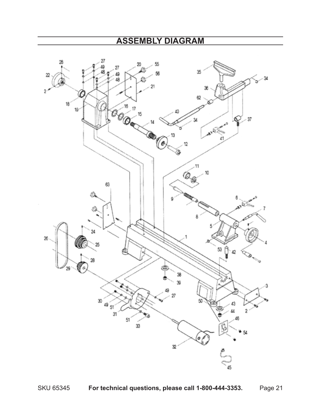